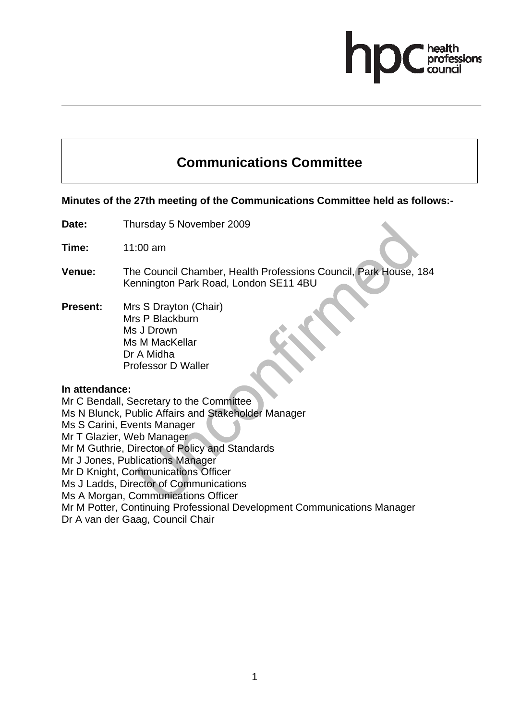# **Communications Committee**

# **Minutes of the 27th meeting of the Communications Committee held as follows:-**

**Date:** Thursday 5 November 2009

**Time:** 11:00 am

- **Venue:** The Council Chamber, Health Professions Council, Park House, 184 Kennington Park Road, London SE11 4BU
- **Present:** Mrs S Drayton (Chair) Mrs P Blackburn Ms J Drown Ms M MacKellar Dr A Midha Professor D Waller

#### **In attendance:**

Mr C Bendall, Secretary to the Committee

Ms N Blunck, Public Affairs and Stakeholder Manager

Ms S Carini, Events Manager

Mr T Glazier, Web Manager

Mr M Guthrie, Director of Policy and Standards

Mr J Jones, Publications Manager

Mr D Knight, Communications Officer

Ms J Ladds, Director of Communications

Ms A Morgan, Communications Officer

Mr M Potter, Continuing Professional Development Communications Manager

Dr A van der Gaag, Council Chair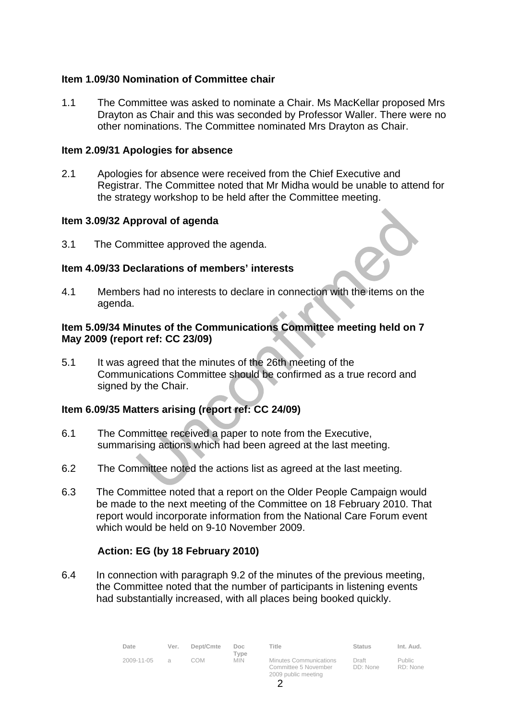# **Item 1.09/30 Nomination of Committee chair**

1.1 The Committee was asked to nominate a Chair. Ms MacKellar proposed Mrs Drayton as Chair and this was seconded by Professor Waller. There were no other nominations. The Committee nominated Mrs Drayton as Chair.

### **Item 2.09/31 Apologies for absence**

2.1 Apologies for absence were received from the Chief Executive and Registrar. The Committee noted that Mr Midha would be unable to attend for the strategy workshop to be held after the Committee meeting.

## **Item 3.09/32 Approval of agenda**

3.1 The Committee approved the agenda.

## **Item 4.09/33 Declarations of members' interests**

4.1 Members had no interests to declare in connection with the items on the agenda.

## **Item 5.09/34 Minutes of the Communications Committee meeting held on 7 May 2009 (report ref: CC 23/09)**

5.1 It was agreed that the minutes of the 26th meeting of the Communications Committee should be confirmed as a true record and signed by the Chair.

# **Item 6.09/35 Matters arising (report ref: CC 24/09)**

- 6.1 The Committee received a paper to note from the Executive, summarising actions which had been agreed at the last meeting.
- 6.2 The Committee noted the actions list as agreed at the last meeting.
- 6.3 The Committee noted that a report on the Older People Campaign would be made to the next meeting of the Committee on 18 February 2010. That report would incorporate information from the National Care Forum event which would be held on 9-10 November 2009.

# **Action: EG (by 18 February 2010)**

6.4 In connection with paragraph 9.2 of the minutes of the previous meeting, the Committee noted that the number of participants in listening events had substantially increased, with all places being booked quickly.

| Date       | Ver.             | Dept/Cmte | Doc.<br>Tvpe | Title                                                                        | <b>Status</b>     | Int. Aud.                 |
|------------|------------------|-----------|--------------|------------------------------------------------------------------------------|-------------------|---------------------------|
| 2009-11-05 | $\triangleright$ | COM       | <b>MIN</b>   | <b>Minutes Communications</b><br>Committee 5 November<br>2009 public meeting | Draft<br>DD: None | <b>Public</b><br>RD: None |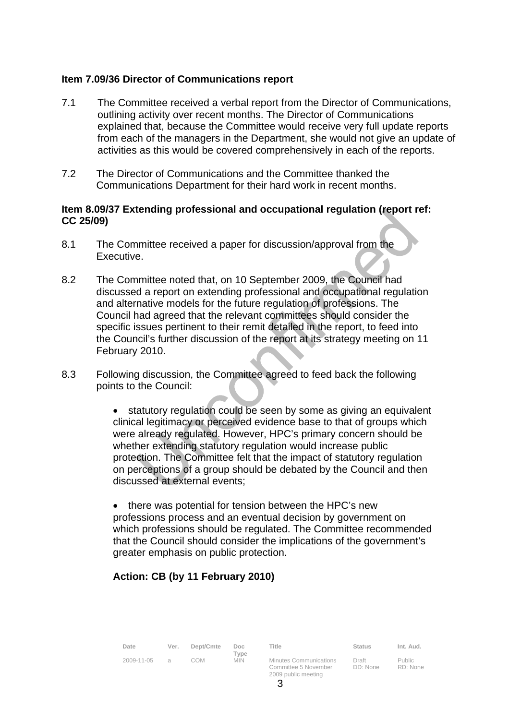# **Item 7.09/36 Director of Communications report**

- 7.1 The Committee received a verbal report from the Director of Communications, outlining activity over recent months. The Director of Communications explained that, because the Committee would receive very full update reports from each of the managers in the Department, she would not give an update of activities as this would be covered comprehensively in each of the reports.
- 7.2 The Director of Communications and the Committee thanked the Communications Department for their hard work in recent months.

## **Item 8.09/37 Extending professional and occupational regulation (report ref: CC 25/09)**

- 8.1 The Committee received a paper for discussion/approval from the Executive.
- 8.2 The Committee noted that, on 10 September 2009, the Council had discussed a report on extending professional and occupational regulation and alternative models for the future regulation of professions. The Council had agreed that the relevant committees should consider the specific issues pertinent to their remit detailed in the report, to feed into the Council's further discussion of the report at its strategy meeting on 11 February 2010.
- 8.3 Following discussion, the Committee agreed to feed back the following points to the Council:

statutory regulation could be seen by some as giving an equivalent clinical legitimacy or perceived evidence base to that of groups which were already regulated. However, HPC's primary concern should be whether extending statutory regulation would increase public protection. The Committee felt that the impact of statutory regulation on perceptions of a group should be debated by the Council and then discussed at external events;

• there was potential for tension between the HPC's new professions process and an eventual decision by government on which professions should be regulated. The Committee recommended that the Council should consider the implications of the government's greater emphasis on public protection.

# **Action: CB (by 11 February 2010)**

| Date       | Ver.          | Dept/Cmte | Doc.<br>Type | Title                                                                        | Status            | Int. Aud.                 |
|------------|---------------|-----------|--------------|------------------------------------------------------------------------------|-------------------|---------------------------|
| 2009-11-05 | $\mathcal{A}$ | COM       | <b>MIN</b>   | <b>Minutes Communications</b><br>Committee 5 November<br>2009 public meeting | Draft<br>DD: None | <b>Public</b><br>RD: None |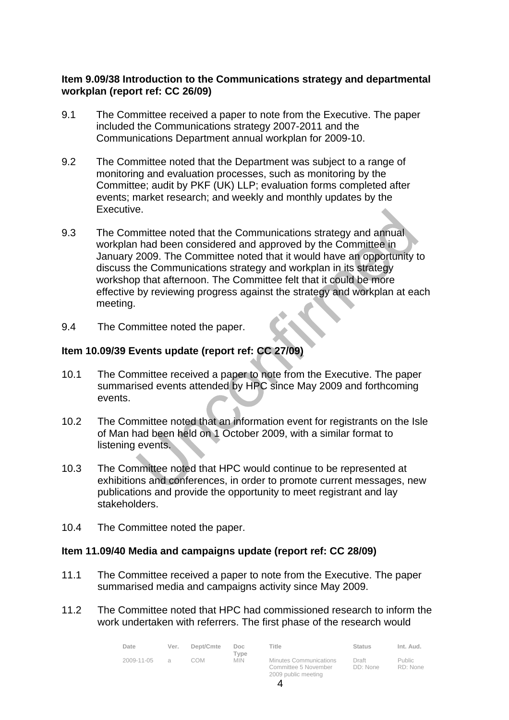# **Item 9.09/38 Introduction to the Communications strategy and departmental workplan (report ref: CC 26/09)**

- 9.1 The Committee received a paper to note from the Executive. The paper included the Communications strategy 2007-2011 and the Communications Department annual workplan for 2009-10.
- 9.2 The Committee noted that the Department was subject to a range of monitoring and evaluation processes, such as monitoring by the Committee; audit by PKF (UK) LLP; evaluation forms completed after events; market research; and weekly and monthly updates by the Executive.
- 9.3 The Committee noted that the Communications strategy and annual workplan had been considered and approved by the Committee in January 2009. The Committee noted that it would have an opportunity to discuss the Communications strategy and workplan in its strategy workshop that afternoon. The Committee felt that it could be more effective by reviewing progress against the strategy and workplan at each meeting.
- 9.4 The Committee noted the paper.

# **Item 10.09/39 Events update (report ref: CC 27/09)**

- 10.1 The Committee received a paper to note from the Executive. The paper summarised events attended by HPC since May 2009 and forthcoming events.
- 10.2 The Committee noted that an information event for registrants on the Isle of Man had been held on 1 October 2009, with a similar format to listening events.
- 10.3 The Committee noted that HPC would continue to be represented at exhibitions and conferences, in order to promote current messages, new publications and provide the opportunity to meet registrant and lay stakeholders.
- 10.4 The Committee noted the paper.

# **Item 11.09/40 Media and campaigns update (report ref: CC 28/09)**

- 11.1 The Committee received a paper to note from the Executive. The paper summarised media and campaigns activity since May 2009.
- 11.2 The Committee noted that HPC had commissioned research to inform the work undertaken with referrers. The first phase of the research would

| Date       | Ver.          | Dept/Cmte | Doc.<br>Tvpe | Title                                                                 | Status            | Int. Aud.          |
|------------|---------------|-----------|--------------|-----------------------------------------------------------------------|-------------------|--------------------|
| 2009-11-05 | $\mathcal{A}$ | COM       | <b>MIN</b>   | Minutes Communications<br>Committee 5 November<br>2009 public meeting | Draft<br>DD: None | Public<br>RD: None |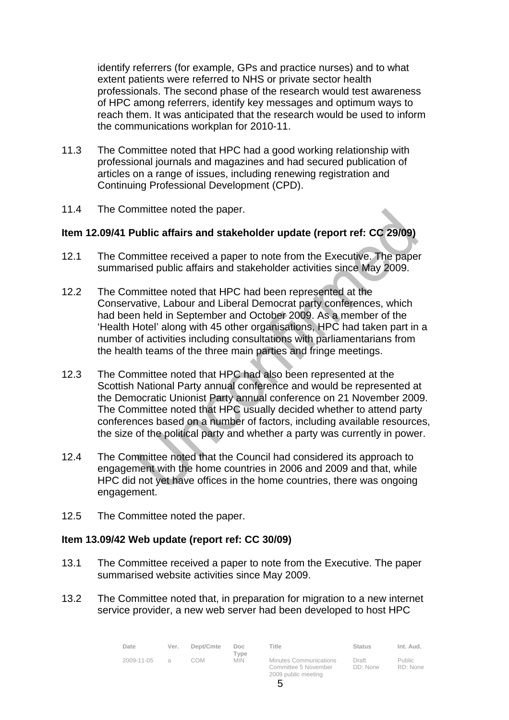identify referrers (for example, GPs and practice nurses) and to what extent patients were referred to NHS or private sector health professionals. The second phase of the research would test awareness of HPC among referrers, identify key messages and optimum ways to reach them. It was anticipated that the research would be used to inform the communications workplan for 2010-11.

- 11.3 The Committee noted that HPC had a good working relationship with professional journals and magazines and had secured publication of articles on a range of issues, including renewing registration and Continuing Professional Development (CPD).
- 11.4 The Committee noted the paper.

# **Item 12.09/41 Public affairs and stakeholder update (report ref: CC 29/09)**

- 12.1 The Committee received a paper to note from the Executive. The paper summarised public affairs and stakeholder activities since May 2009.
- 12.2 The Committee noted that HPC had been represented at the Conservative, Labour and Liberal Democrat party conferences, which had been held in September and October 2009. As a member of the 'Health Hotel' along with 45 other organisations, HPC had taken part in a number of activities including consultations with parliamentarians from the health teams of the three main parties and fringe meetings.
- 12.3 The Committee noted that HPC had also been represented at the Scottish National Party annual conference and would be represented at the Democratic Unionist Party annual conference on 21 November 2009. The Committee noted that HPC usually decided whether to attend party conferences based on a number of factors, including available resources, the size of the political party and whether a party was currently in power.
- 12.4 The Committee noted that the Council had considered its approach to engagement with the home countries in 2006 and 2009 and that, while HPC did not yet have offices in the home countries, there was ongoing engagement.
- 12.5 The Committee noted the paper.

# **Item 13.09/42 Web update (report ref: CC 30/09)**

- 13.1 The Committee received a paper to note from the Executive. The paper summarised website activities since May 2009.
- 13.2 The Committee noted that, in preparation for migration to a new internet service provider, a new web server had been developed to host HPC

| Date       | Ver.          | Dept/Cmte | Doc.<br>Tvpe | Title                                                                        | Status            | Int. Aud.                 |
|------------|---------------|-----------|--------------|------------------------------------------------------------------------------|-------------------|---------------------------|
| 2009-11-05 | $\mathcal{A}$ | COM       | <b>MIN</b>   | <b>Minutes Communications</b><br>Committee 5 November<br>2009 public meeting | Draft<br>DD: None | <b>Public</b><br>RD: None |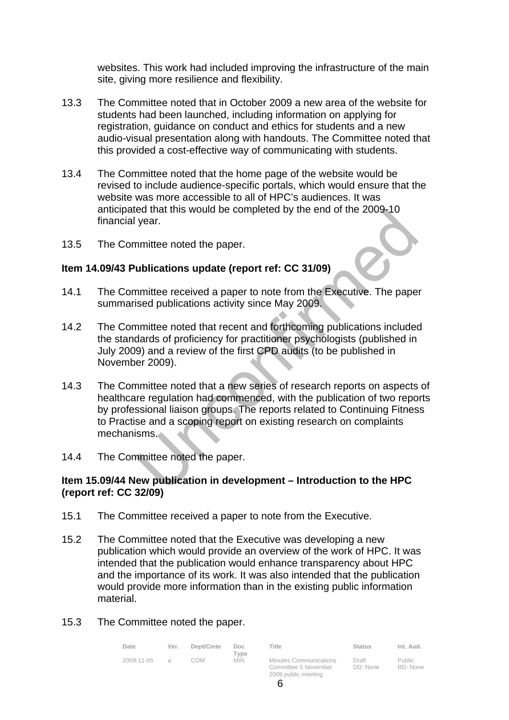websites. This work had included improving the infrastructure of the main site, giving more resilience and flexibility.

- 13.3 The Committee noted that in October 2009 a new area of the website for students had been launched, including information on applying for registration, guidance on conduct and ethics for students and a new audio-visual presentation along with handouts. The Committee noted that this provided a cost-effective way of communicating with students.
- 13.4 The Committee noted that the home page of the website would be revised to include audience-specific portals, which would ensure that the website was more accessible to all of HPC's audiences. It was anticipated that this would be completed by the end of the 2009-10 financial year.
- 13.5 The Committee noted the paper.

# **Item 14.09/43 Publications update (report ref: CC 31/09)**

- 14.1 The Committee received a paper to note from the Executive. The paper summarised publications activity since May 2009.
- 14.2 The Committee noted that recent and forthcoming publications included the standards of proficiency for practitioner psychologists (published in July 2009) and a review of the first CPD audits (to be published in November 2009).
- 14.3 The Committee noted that a new series of research reports on aspects of healthcare regulation had commenced, with the publication of two reports by professional liaison groups. The reports related to Continuing Fitness to Practise and a scoping report on existing research on complaints mechanisms.
- 14.4 The Committee noted the paper.

## **Item 15.09/44 New publication in development – Introduction to the HPC (report ref: CC 32/09)**

- 15.1 The Committee received a paper to note from the Executive.
- 15.2 The Committee noted that the Executive was developing a new publication which would provide an overview of the work of HPC. It was intended that the publication would enhance transparency about HPC and the importance of its work. It was also intended that the publication would provide more information than in the existing public information material.
- 15.3 The Committee noted the paper.

| Date       | Ver.     | Dept/Cmte | Doc.<br>Tvpe | Title                                                                        | <b>Status</b>     | Int. Aud.                 |
|------------|----------|-----------|--------------|------------------------------------------------------------------------------|-------------------|---------------------------|
| 2009-11-05 | $\alpha$ | COM       | <b>MIN</b>   | <b>Minutes Communications</b><br>Committee 5 November<br>2009 public meeting | Draft<br>DD: None | <b>Public</b><br>RD: None |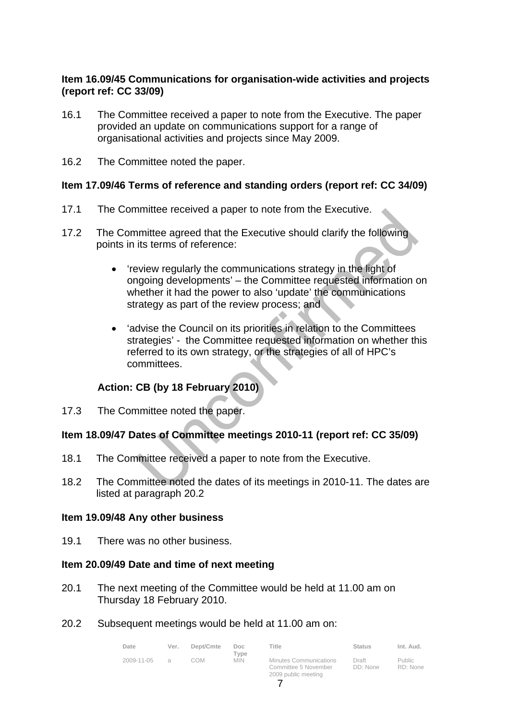# **Item 16.09/45 Communications for organisation-wide activities and projects (report ref: CC 33/09)**

- 16.1 The Committee received a paper to note from the Executive. The paper provided an update on communications support for a range of organisational activities and projects since May 2009.
- 16.2 The Committee noted the paper.

# **Item 17.09/46 Terms of reference and standing orders (report ref: CC 34/09)**

- 17.1 The Committee received a paper to note from the Executive.
- 17.2 The Committee agreed that the Executive should clarify the following points in its terms of reference:
	- 'review regularly the communications strategy in the light of ongoing developments' – the Committee requested information on whether it had the power to also 'update' the communications strategy as part of the review process; and
	- 'advise the Council on its priorities in relation to the Committees strategies' - the Committee requested information on whether this referred to its own strategy, or the strategies of all of HPC's committees.

# **Action: CB (by 18 February 2010)**

17.3 The Committee noted the paper.

# **Item 18.09/47 Dates of Committee meetings 2010-11 (report ref: CC 35/09)**

- 18.1 The Committee received a paper to note from the Executive.
- 18.2 The Committee noted the dates of its meetings in 2010-11. The dates are listed at paragraph 20.2

#### **Item 19.09/48 Any other business**

19.1 There was no other business.

#### **Item 20.09/49 Date and time of next meeting**

- 20.1 The next meeting of the Committee would be held at 11.00 am on Thursday 18 February 2010.
- 20.2 Subsequent meetings would be held at 11.00 am on:

| Date       | Ver.          | Dept/Cmte | Doc.               | Title                                                 | <b>Status</b>     | Int. Aud.          |
|------------|---------------|-----------|--------------------|-------------------------------------------------------|-------------------|--------------------|
| 2009-11-05 | $\mathcal{A}$ | COM       | Tvpe<br><b>MIN</b> | <b>Minutes Communications</b><br>Committee 5 November | Draft<br>DD: None | Public<br>RD: None |